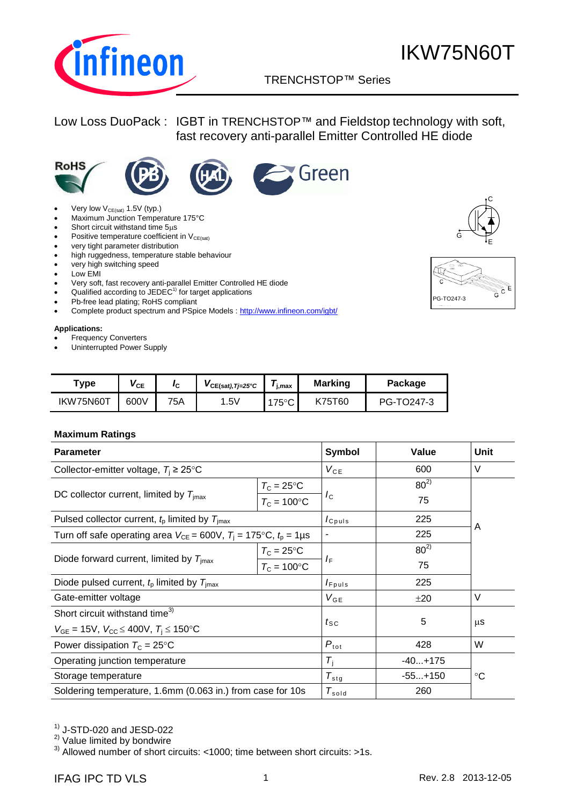

### TRENCHSTOP™ Series q

### Low Loss DuoPack : IGBT in TRENCHSTOP™ and Fieldstop technology with soft, fast recovery anti-parallel Emitter Controlled HE diode











- Maximum Junction Temperature 175°C
- Short circuit withstand time  $5\mu s$
- **•** Positive temperature coefficient in  $V_{CE(sat)}$
- very tight parameter distribution
- high ruggedness, temperature stable behaviour
- very high switching speed
- Low EMI
- Very soft, fast recovery anti-parallel Emitter Controlled HE diode
- Qualified according to  $JEDEC<sup>1</sup>$  for target applications
- Pb-free lead plating; RoHS compliant
- Complete product spectrum and PSpice Models : http://www.infineon.com/igbt/

### **Applications:**

- Frequency Converters
- Uninterrupted Power Supply

| "ype      | VCE  | IC. | $VCE(sat),Tj=25°C$ | j,max         | <b>Marking</b> | Package    |
|-----------|------|-----|--------------------|---------------|----------------|------------|
| IKW75N60T | 600V | 75A | .5V                | $175^\circ$ C | K75T60         | PG-TO247-3 |

### **Maximum Ratings**

| <b>Parameter</b>                                                               | <b>Symbol</b>       | Value           | Unit        |    |  |  |
|--------------------------------------------------------------------------------|---------------------|-----------------|-------------|----|--|--|
| Collector-emitter voltage, $T_i \geq 25^{\circ}$ C                             | $V_{CE}$            | 600             | $\vee$      |    |  |  |
|                                                                                | $T_{\rm C} = 25$ °C |                 | $80^{2}$    |    |  |  |
| DC collector current, limited by $T_{\text{imax}}$<br>$T_c = 100$ °C           |                     | $I_{\rm C}$     | 75          |    |  |  |
| Pulsed collector current, $t_p$ limited by $T_{\text{imax}}$                   |                     | $I_{C^{puls}}$  | 225         | A  |  |  |
| Turn off safe operating area $V_{CE} = 600V$ , $T_i = 175$ °C, $t_0 = 1 \mu s$ |                     | -               | 225         |    |  |  |
|                                                                                | $T_{\rm C}$ = 25°C  |                 | $80^{2}$    |    |  |  |
| Diode forward current, limited by $T_{\text{imax}}$                            | $T_c = 100$ °C      | $I_F$           | 75          |    |  |  |
| Diode pulsed current, $t_p$ limited by $T_{\text{imax}}$                       | $I_{F^{p}uls}$      | 225             |             |    |  |  |
| Gate-emitter voltage                                                           |                     | $V_{GE}$        | ±20         | V  |  |  |
| Short circuit withstand time <sup>3)</sup>                                     |                     |                 |             |    |  |  |
| $V_{GE} = 15V$ , $V_{CC} \le 400V$ , $T_i \le 150$ °C                          |                     | $t_{\text{SC}}$ | 5           | μS |  |  |
| Power dissipation $T_c = 25^{\circ}$ C                                         | $P_{\text{tot}}$    | 428             | W           |    |  |  |
| Operating junction temperature                                                 | $T_i$               | $-40+175$       |             |    |  |  |
| Storage temperature                                                            | $T_{\text{stg}}$    | $-55+150$       | $^{\circ}C$ |    |  |  |
| Soldering temperature, 1.6mm (0.063 in.) from case for 10s                     |                     | $T_{\sf sold}$  | 260         |    |  |  |

 $<sup>1</sup>$  J-STD-020 and JESD-022</sup>

2) Value limited by bondwire

3) Allowed number of short circuits: <1000; time between short circuits: >1s.



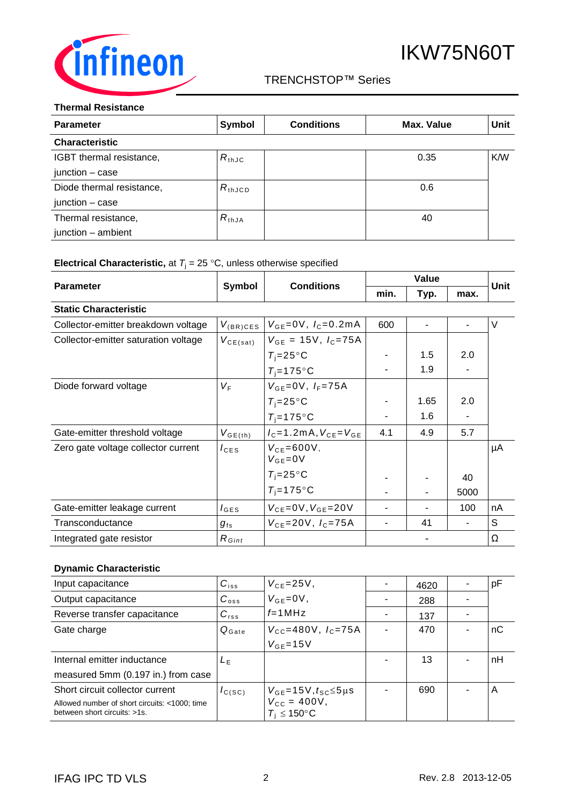

### TRENCHSTOP™ Series q

### **Thermal Resistance**

| <b>Parameter</b>          | Symbol          | <b>Conditions</b> | Max. Value | <b>Unit</b> |
|---------------------------|-----------------|-------------------|------------|-------------|
| <b>Characteristic</b>     |                 |                   |            |             |
| IGBT thermal resistance,  | $R_{th,IC}$     |                   | 0.35       | K/W         |
| $junction - case$         |                 |                   |            |             |
| Diode thermal resistance, | $R_{\rm thJCD}$ |                   | 0.6        |             |
| junction $-$ case         |                 |                   |            |             |
| Thermal resistance,       | $R_{thJA}$      |                   | 40         |             |
| junction - ambient        |                 |                   |            |             |

## **Electrical Characteristic,** at  $T_j = 25 \degree C$ , unless otherwise specified

|                                      | <b>Symbol</b>    |                                          | Value |                          |      | <b>Unit</b> |
|--------------------------------------|------------------|------------------------------------------|-------|--------------------------|------|-------------|
| <b>Parameter</b>                     |                  | <b>Conditions</b>                        | min.  | Typ.                     | max. |             |
| <b>Static Characteristic</b>         |                  |                                          |       |                          |      |             |
| Collector-emitter breakdown voltage  | $V_{(BR)CES}$    | $V_{GE} = 0V$ , $I_C = 0.2mA$            | 600   | ٠                        |      | V           |
| Collector-emitter saturation voltage | $V_{CE(sat)}$    | $V_{GF} = 15V, I_C = 75A$                |       |                          |      |             |
|                                      |                  | $T_i = 25^{\circ}C$                      |       | 1.5                      | 2.0  |             |
|                                      |                  | $T_i = 175$ °C                           |       | 1.9                      |      |             |
| Diode forward voltage                | $V_{\mathsf{F}}$ | $V_{GE}=0V$ , $I_F=75A$                  |       |                          |      |             |
|                                      |                  | $T_i = 25^{\circ}C$                      |       | 1.65                     | 2.0  |             |
|                                      |                  | $T_i = 175$ °C                           |       | 1.6                      |      |             |
| Gate-emitter threshold voltage       | $V_{GE(th)}$     | $I_{C} = 1.2 \text{mA}, V_{CF} = V_{GF}$ | 4.1   | 4.9                      | 5.7  |             |
| Zero gate voltage collector current  | $I_{\text{CES}}$ | $V_{CF} = 600V$ ,<br>$V_{GE} = 0V$       |       |                          |      | μA          |
|                                      |                  | $T_i = 25^{\circ}C$                      |       |                          | 40   |             |
|                                      |                  | $T_i = 175$ °C                           |       | $\overline{\phantom{a}}$ | 5000 |             |
| Gate-emitter leakage current         | $I_{\text{GES}}$ | $V_{CE} = 0V, V_{GE} = 20V$              |       |                          | 100  | nA          |
| Transconductance                     | $g_{\rm fs}$     | $V_{CE} = 20V, I_C = 75A$                |       | 41                       |      | S           |
| Integrated gate resistor             | $R_{Gint}$       |                                          |       |                          |      | Ω           |

### **Dynamic Characteristic**

| Input capacitance                                                             | $C_{iss}$         | $V_{CE} = 25V$ ,                                              | 4620 | pF |
|-------------------------------------------------------------------------------|-------------------|---------------------------------------------------------------|------|----|
| Output capacitance                                                            | $C_{\rm oss}$     | $V_{GE} = 0V$ ,                                               | 288  |    |
| Reverse transfer capacitance                                                  | $C_{\text{rss}}$  | $f=1$ MHz                                                     | 137  |    |
| Gate charge                                                                   | $Q_{\text{Gate}}$ | $V_{\text{CC}} = 480 \text{V}$ , $I_{\text{C}} = 75 \text{A}$ | 470  | пC |
|                                                                               |                   | $V_{GE} = 15V$                                                |      |    |
| Internal emitter inductance                                                   | $L_{\rm F}$       |                                                               | 13   | nH |
| measured 5mm (0.197 in.) from case                                            |                   |                                                               |      |    |
| Short circuit collector current                                               | $I_{C(SC)}$       | $V_{GE}$ =15V, $t_{SC}$ $\leq$ 5µs                            | 690  | Α  |
| Allowed number of short circuits: <1000; time<br>between short circuits: >1s. |                   | $V_{\rm CC} = 400V,$<br>$T_i \leq 150^{\circ}$ C              |      |    |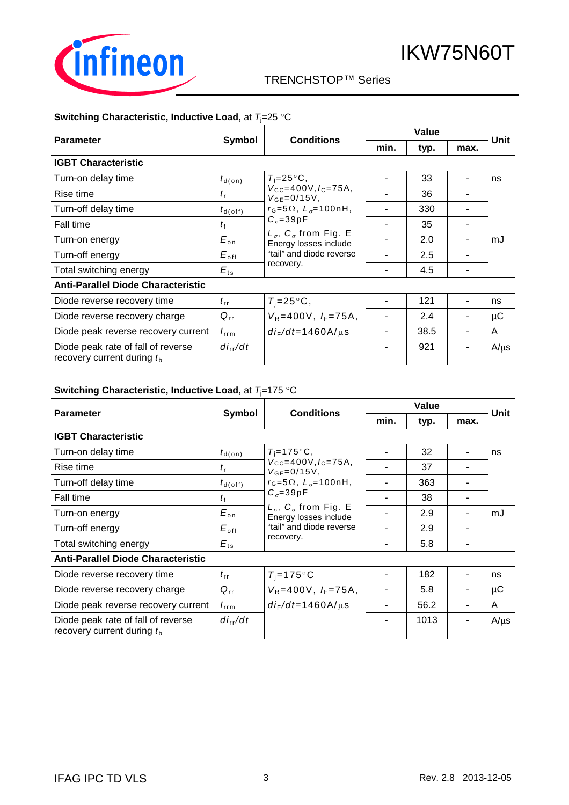

## TRENCHSTOP™ Series q

### **Switching Characteristic, Inductive Load, at**  $T_1=25$  **°C**

|                                                                    |                      |                                                                                                                                                                                                                                           | Value |      |      |             |
|--------------------------------------------------------------------|----------------------|-------------------------------------------------------------------------------------------------------------------------------------------------------------------------------------------------------------------------------------------|-------|------|------|-------------|
| <b>Parameter</b>                                                   | Symbol               | <b>Conditions</b>                                                                                                                                                                                                                         | min.  | typ. | max. | <b>Unit</b> |
| <b>IGBT Characteristic</b>                                         |                      |                                                                                                                                                                                                                                           |       |      |      |             |
| Turn-on delay time                                                 | $t_{\textsf{d}(on)}$ | $T_i = 25^{\circ}C$ ,                                                                                                                                                                                                                     |       | 33   |      | ns          |
| Rise time                                                          | $t_{\rm r}$          | $V_{\text{CC}} = 400V, I_{\text{C}} = 75A$<br>$V_{GE} = 0/15V$ ,<br>$r_{\rm G}$ =5 $\Omega$ , $L_{\sigma}$ =100nH,<br>$C_{\sigma} = 39pF$<br>$L_{\sigma}$ , $C_{\sigma}$ from Fig. E<br>Energy losses include<br>"tail" and diode reverse |       | 36   |      |             |
| Turn-off delay time                                                | $t_{\sf d(\sf off)}$ |                                                                                                                                                                                                                                           |       | 330  |      |             |
| Fall time                                                          | $t_{\rm f}$          |                                                                                                                                                                                                                                           |       | 35   |      |             |
| Turn-on energy                                                     | $E_{\text{on}}$      |                                                                                                                                                                                                                                           |       | 2.0  |      | mJ          |
| Turn-off energy                                                    | $E_{\rm off}$        |                                                                                                                                                                                                                                           |       | 2.5  |      |             |
| Total switching energy                                             | $E_{ts}$             | recovery.                                                                                                                                                                                                                                 |       | 4.5  |      |             |
| <b>Anti-Parallel Diode Characteristic</b>                          |                      |                                                                                                                                                                                                                                           |       |      |      |             |
| Diode reverse recovery time                                        | $t_{\rm rr}$         | $T_i = 25^{\circ}C$ ,                                                                                                                                                                                                                     |       | 121  |      | ns          |
| Diode reverse recovery charge                                      | $Q_{rr}$             | $V_R = 400V$ , $I_F = 75A$ ,                                                                                                                                                                                                              |       | 2.4  |      | μC          |
| Diode peak reverse recovery current                                | $I_{\rm rrm}$        | $di_F/dt = 1460A/\mu s$                                                                                                                                                                                                                   |       | 38.5 |      | A           |
| Diode peak rate of fall of reverse<br>recovery current during $tb$ | $di_{rr}/dt$         |                                                                                                                                                                                                                                           |       | 921  |      | $A/\mu s$   |

### **Switching Characteristic, Inductive Load, at**  $T_i$ **=175 °C**

|                                                                    |                      |                                                                                                                                                                                                                            | Value |      |      | <b>Unit</b> |
|--------------------------------------------------------------------|----------------------|----------------------------------------------------------------------------------------------------------------------------------------------------------------------------------------------------------------------------|-------|------|------|-------------|
| <b>Parameter</b>                                                   | Symbol               | <b>Conditions</b>                                                                                                                                                                                                          | min.  | typ. | max. |             |
| <b>IGBT Characteristic</b>                                         |                      |                                                                                                                                                                                                                            |       |      |      |             |
| Turn-on delay time                                                 | $t_{\textsf{d}(on)}$ | $T_i = 175$ °C,                                                                                                                                                                                                            |       | 32   |      | ns          |
| Rise time                                                          | $t_{\rm r}$          | $V_{CC} = 400V, I_C = 75A,$<br>$V_{GE} = 0/15V$ ,<br>$r_{\rm G}$ =5 $\Omega$ , $L_{\sigma}$ =100nH,<br>$C_{\sigma} = 39pF$<br>$L_{\sigma}$ , $C_{\sigma}$ from Fig. E<br>Energy losses include<br>"tail" and diode reverse |       | 37   |      |             |
| Turn-off delay time                                                | $t_{d(\text{off})}$  |                                                                                                                                                                                                                            |       | 363  |      |             |
| Fall time                                                          | $t_{\rm f}$          |                                                                                                                                                                                                                            |       | 38   |      |             |
| Turn-on energy                                                     | $E_{\text{on}}$      |                                                                                                                                                                                                                            |       | 2.9  |      | mJ          |
| Turn-off energy                                                    | $E_{\mathsf{off}}$   |                                                                                                                                                                                                                            |       | 2.9  |      |             |
| Total switching energy                                             | $E_{ts}$             | recovery.                                                                                                                                                                                                                  |       | 5.8  |      |             |
| <b>Anti-Parallel Diode Characteristic</b>                          |                      |                                                                                                                                                                                                                            |       |      |      |             |
| Diode reverse recovery time                                        | $t_{\rm rr}$         | $T_i = 175$ °C                                                                                                                                                                                                             |       | 182  |      | ns          |
| Diode reverse recovery charge                                      | $Q_{rr}$             | $V_R = 400V$ , $I_F = 75A$ ,                                                                                                                                                                                               |       | 5.8  |      | μC          |
| Diode peak reverse recovery current                                | $I_{\text{rrm}}$     | $di_F/dt = 1460$ A/ $\mu$ s                                                                                                                                                                                                |       | 56.2 |      | A           |
| Diode peak rate of fall of reverse<br>recovery current during $tb$ | $di_{rr}/dt$         |                                                                                                                                                                                                                            |       | 1013 |      | $A/\mu s$   |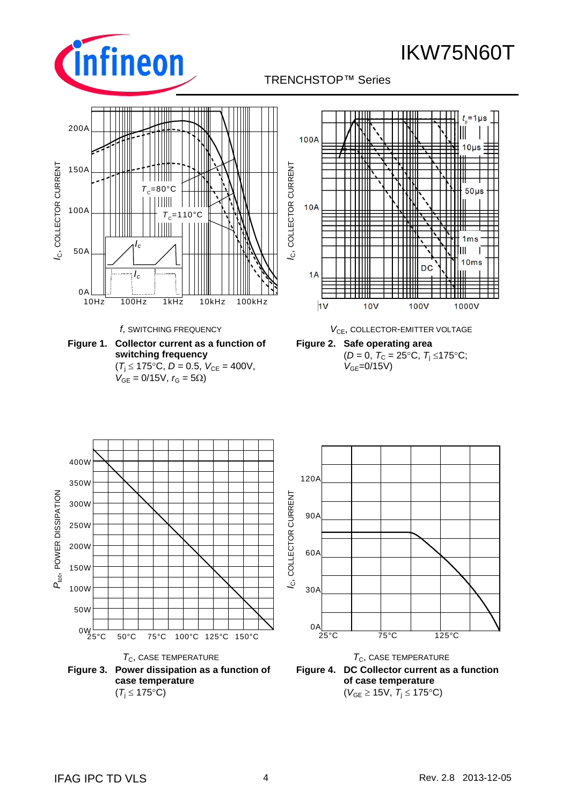





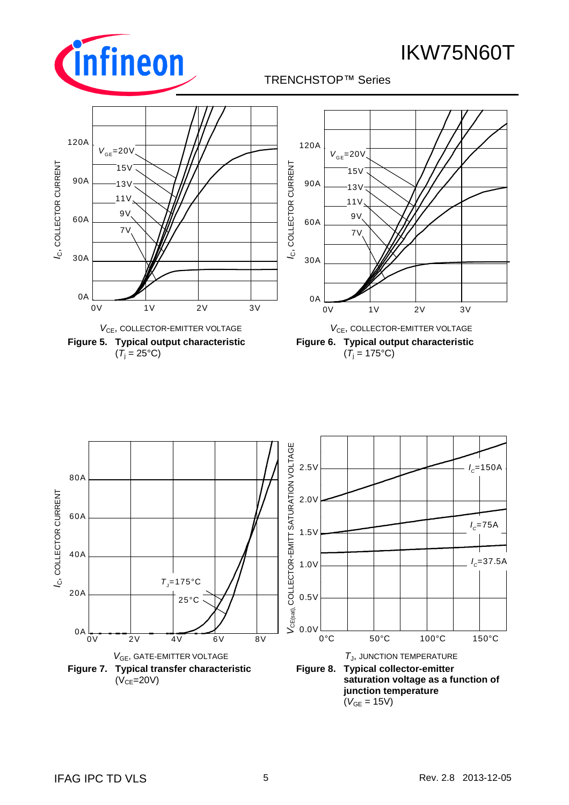



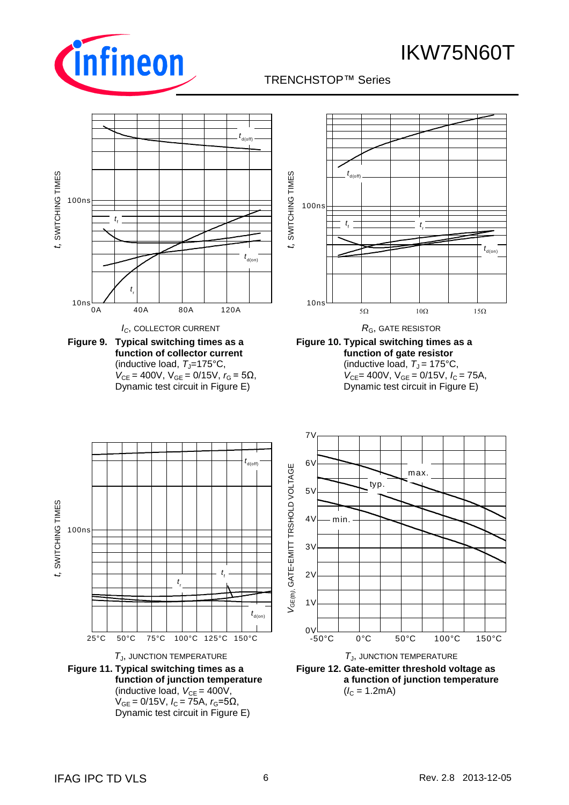

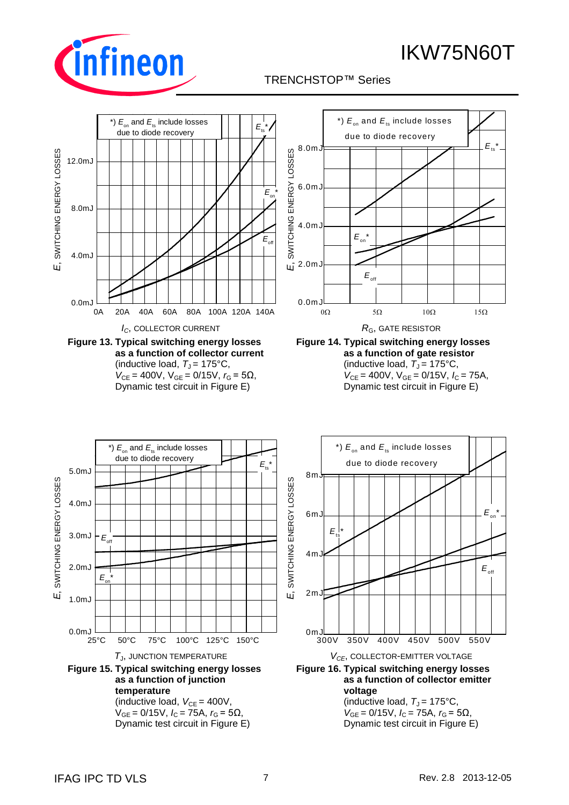



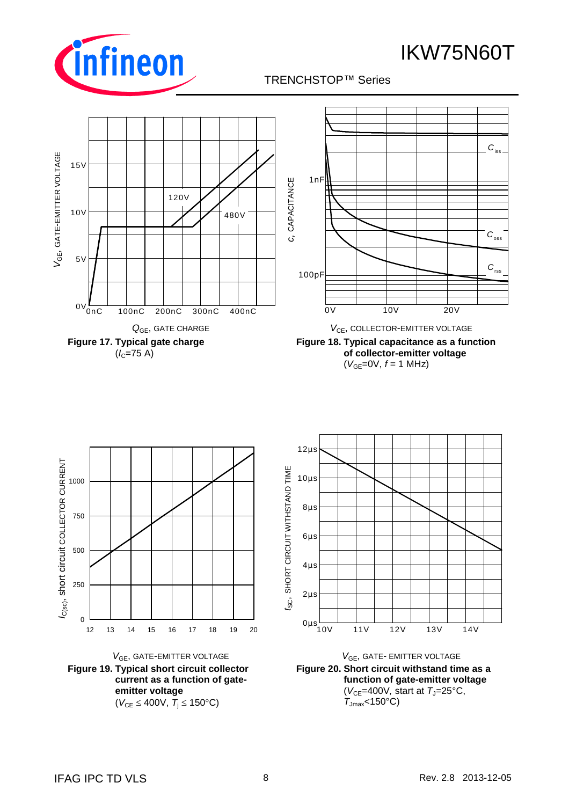





**Figure 18. Typical capacitance as a function of collector-emitter voltage**  $(V_{GF}=0V, f=1 MHz)$ 







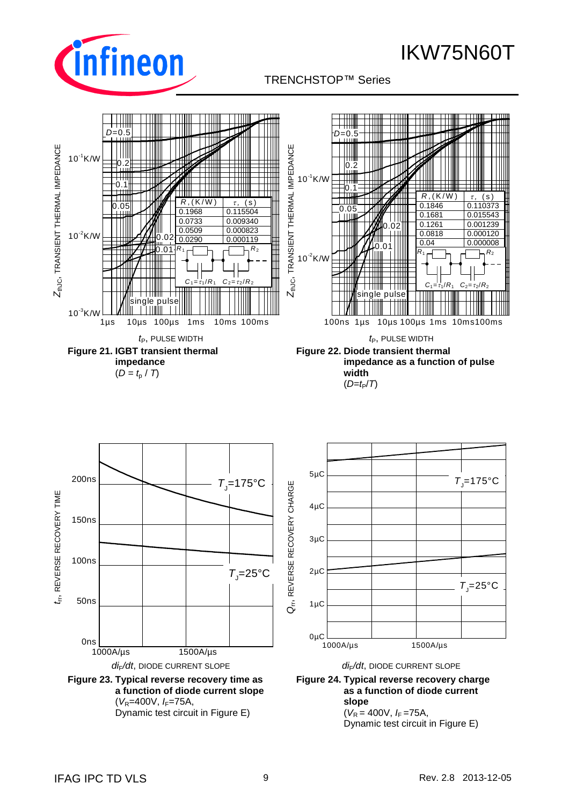

## TRENCHSTOP™ Series q



Dynamic test circuit in Figure E)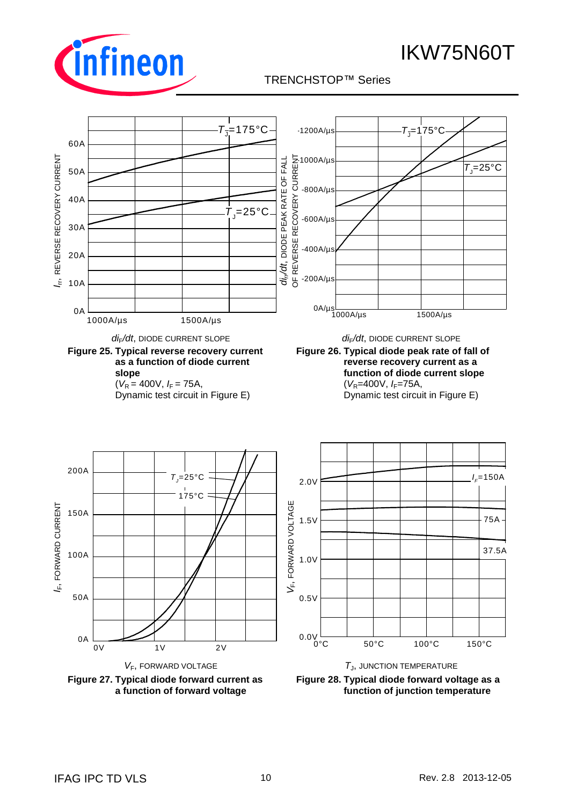

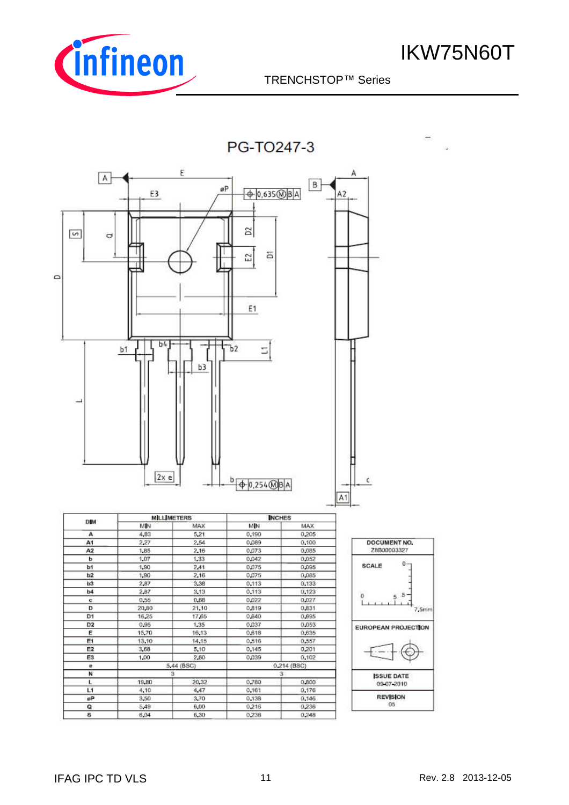

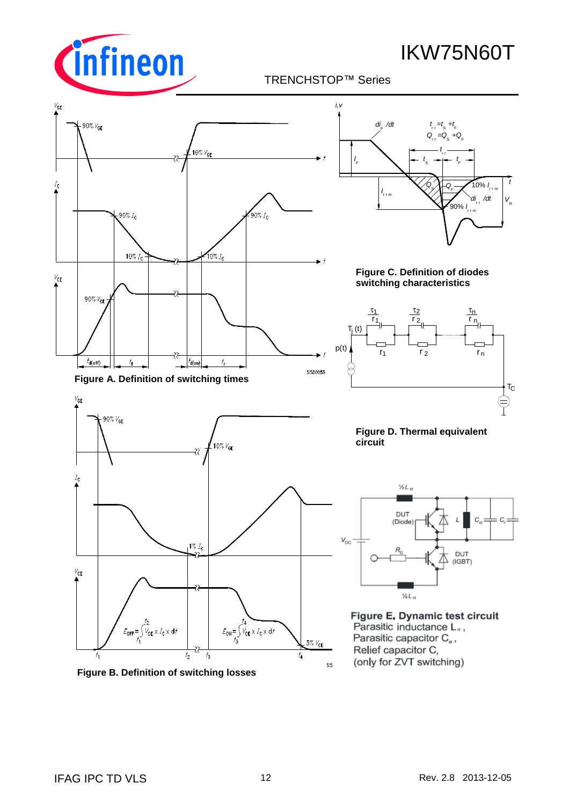

TRENCHSTOP™ Series q



**Figure B. Definition of switching losses**

sis